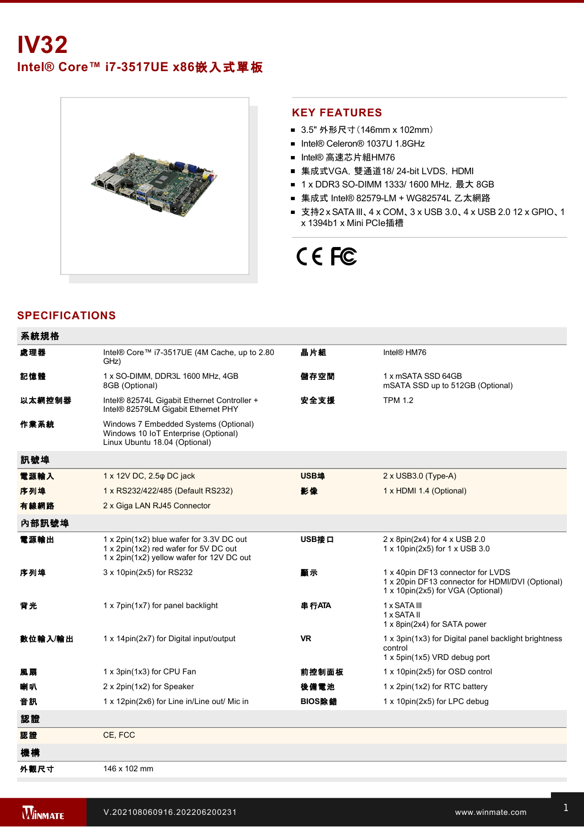

#### **KEY FEATURES**

- 3.5" 外形尺寸 (146mm x 102mm)
- Intel® Celeron® 1037U 1.8GHz
- Intel® 高速芯片組HM76
- 集成式VGA, 雙通道18/ 24-bit LVDS, HDMI
- 1 x DDR3 SO-DIMM 1333/ 1600 MHz, 最大 8GB
- 集成式 Intel® 82579-LM + WG82574L 乙太網路
- 支持2 x SATA III、4 x COM、3 x USB 3.0、4 x USB 2.0 12 x GPIO、1 x 1394b1 x Mini PCIe插槽

# CE FC

## **SPECIFICATIONS**

| 系統規格    |                                                                                                                                |           |                                                                                                                            |
|---------|--------------------------------------------------------------------------------------------------------------------------------|-----------|----------------------------------------------------------------------------------------------------------------------------|
| 處理器     | Intel® Core™ i7-3517UE (4M Cache, up to 2.80<br>GHz)                                                                           | 晶片組       | Intel® HM76                                                                                                                |
| 記憶體     | 1 x SO-DIMM, DDR3L 1600 MHz, 4GB<br>8GB (Optional)                                                                             | 儲存空間      | 1 x mSATA SSD 64GB<br>mSATA SSD up to 512GB (Optional)                                                                     |
| 以太網控制器  | Intel® 82574L Gigabit Ethernet Controller +<br>Intel® 82579LM Gigabit Ethernet PHY                                             | 安全支援      | <b>TPM 1.2</b>                                                                                                             |
| 作業系統    | Windows 7 Embedded Systems (Optional)<br>Windows 10 IoT Enterprise (Optional)<br>Linux Ubuntu 18.04 (Optional)                 |           |                                                                                                                            |
| 訊號埠     |                                                                                                                                |           |                                                                                                                            |
| 電源輸入    | 1 x 12V DC, 2.5 $\varphi$ DC jack                                                                                              | USB埠      | 2 x USB3.0 (Type-A)                                                                                                        |
| 序列埠     | 1 x RS232/422/485 (Default RS232)                                                                                              | 影像        | 1 x HDMI 1.4 (Optional)                                                                                                    |
| 有線網路    | 2 x Giga LAN RJ45 Connector                                                                                                    |           |                                                                                                                            |
| 內部訊號埠   |                                                                                                                                |           |                                                                                                                            |
| 電源輸出    | 1 x 2pin(1x2) blue wafer for 3.3V DC out<br>1 x 2pin(1x2) red wafer for 5V DC out<br>1 x 2pin(1x2) yellow wafer for 12V DC out | USB接口     | 2 x 8pin(2x4) for 4 x USB 2.0<br>1 x 10pin(2x5) for 1 x USB 3.0                                                            |
| 序列埠     | 3 x 10pin(2x5) for RS232                                                                                                       | 顧示        | 1 x 40pin DF13 connector for LVDS<br>1 x 20pin DF13 connector for HDMI/DVI (Optional)<br>1 x 10pin(2x5) for VGA (Optional) |
| 背光      | 1 x 7pin(1x7) for panel backlight                                                                                              | 串行ATA     | 1 x SATA III<br>1 x SATA II<br>1 x 8pin(2x4) for SATA power                                                                |
| 數位輸入/輸出 | 1 x 14pin(2x7) for Digital input/output                                                                                        | <b>VR</b> | 1 x 3pin(1x3) for Digital panel backlight brightness<br>control<br>1 x 5pin(1x5) VRD debug port                            |
| 風扇      | 1 x 3pin(1x3) for CPU Fan                                                                                                      | 前控制面板     | 1 x 10pin(2x5) for OSD control                                                                                             |
| 喇叭      | 2 x 2pin(1x2) for Speaker                                                                                                      | 後備電池      | 1 x 2pin(1x2) for RTC battery                                                                                              |
| 音訊      | 1 x 12pin(2x6) for Line in/Line out/ Mic in                                                                                    | BIOS除錯    | 1 x 10pin(2x5) for LPC debug                                                                                               |
| 認證      |                                                                                                                                |           |                                                                                                                            |
| 認證      | CE, FCC                                                                                                                        |           |                                                                                                                            |
| 機構      |                                                                                                                                |           |                                                                                                                            |
| 外觀尺寸    | 146 x 102 mm                                                                                                                   |           |                                                                                                                            |

環境